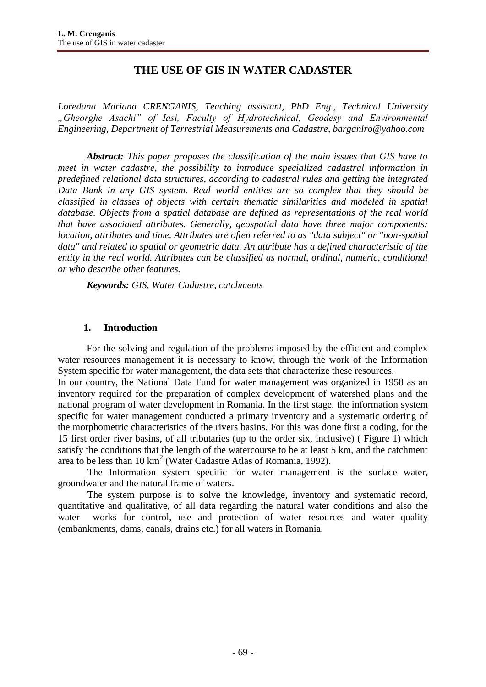# **THE USE OF GIS IN WATER CADASTER**

*Loredana Mariana CRENGANIS*, *Teaching assistant, PhD Eng., Technical University "Gheorghe Asachi" of Iasi, Faculty of Hydrotechnical, Geodesy and Environmental Engineering, Department of Terrestrial Measurements and Cadastre, barganlro@yahoo.com*

*Abstract: This paper proposes the classification of the main issues that GIS have to meet in water cadastre, the possibility to introduce specialized cadastral information in predefined relational data structures, according to cadastral rules and getting the integrated Data Bank in any GIS system. Real world entities are so complex that they should be classified in classes of objects with certain thematic similarities and modeled in spatial database. Objects from a spatial database are defined as representations of the real world that have associated attributes. Generally, geospatial data have three major components: location, attributes and time. Attributes are often referred to as "data subject" or "non-spatial data" and related to spatial or geometric data. An attribute has a defined characteristic of the entity in the real world. Attributes can be classified as normal, ordinal, numeric, conditional or who describe other features.* 

*Keywords: GIS, Water Cadastre, catchments*

## **1. Introduction**

For the solving and regulation of the problems imposed by the efficient and complex water resources management it is necessary to know, through the work of the Information System specific for water management, the data sets that characterize these resources.

In our country, the National Data Fund for water management was organized in 1958 as an inventory required for the preparation of complex development of watershed plans and the national program of water development in Romania. In the first stage, the information system specific for water management conducted a primary inventory and a systematic ordering of the morphometric characteristics of the rivers basins. For this was done first a coding, for the 15 first order river basins, of all tributaries (up to the order six, inclusive) ( Figure 1) which satisfy the conditions that the length of the watercourse to be at least 5 km, and the catchment area to be less than  $10 \text{ km}^2$  (Water Cadastre Atlas of Romania, 1992).

The Information system specific for water management is the surface water, groundwater and the natural frame of waters.

The system purpose is to solve the knowledge, inventory and systematic record, quantitative and qualitative, of all data regarding the natural water conditions and also the water works for control, use and protection of water resources and water quality (embankments, dams, canals, drains etc.) for all waters in Romania.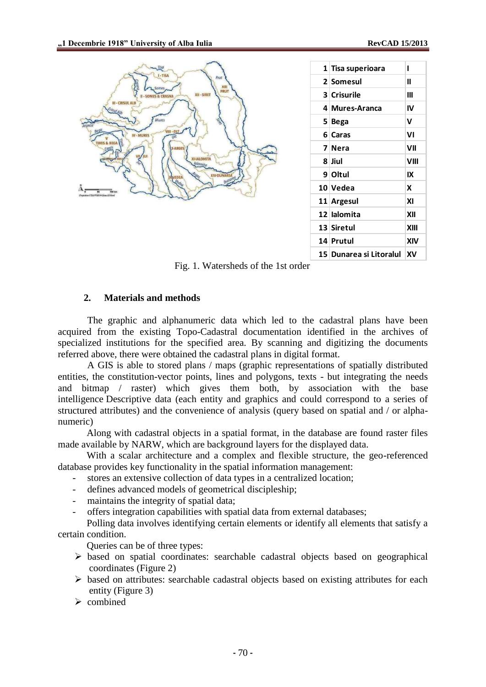

| 1 Tisa superioara              | ı    |
|--------------------------------|------|
| 2 Somesul                      | Ш    |
| <b>3 Crisurile</b>             | Ш    |
| 4 Mures-Aranca                 | IV   |
| 5 Bega                         | v    |
| 6 Caras                        | ۷I   |
| 7 Nera                         | VII  |
| 8 Jiul                         | VIII |
| 9 Oltul                        | IX   |
| 10 Vedea                       | x    |
| 11 Argesul                     | ΧI   |
| 12 Ialomita                    | XII  |
| 13 Siretul                     | XIII |
| 14 Prutul                      | XIV  |
| 15   Dunarea si Litoralul   XV |      |
|                                |      |

Fig. 1. Watersheds of the 1st order

#### **2. Materials and methods**

The graphic and alphanumeric data which led to the cadastral plans have been acquired from the existing Topo-Cadastral documentation identified in the archives of specialized institutions for the specified area. By scanning and digitizing the documents referred above, there were obtained the cadastral plans in digital format.

A GIS is able to stored plans / maps (graphic representations of spatially distributed entities, the constitution-vector points, lines and polygons, texts - but integrating the needs and bitmap / raster) which gives them both, by association with the base intelligence Descriptive data (each entity and graphics and could correspond to a series of structured attributes) and the convenience of analysis (query based on spatial and / or alphanumeric)

Along with cadastral objects in a spatial format, in the database are found raster files made available by NARW, which are background layers for the displayed data.

With a scalar architecture and a complex and flexible structure, the geo-referenced database provides key functionality in the spatial information management:

- stores an extensive collection of data types in a centralized location;
- defines advanced models of geometrical discipleship;
- maintains the integrity of spatial data;
- offers integration capabilities with spatial data from external databases;

Polling data involves identifying certain elements or identify all elements that satisfy a certain condition.

Queries can be of three types:

- $\triangleright$  based on spatial coordinates: searchable cadastral objects based on geographical coordinates (Figure 2)
- $\triangleright$  based on attributes: searchable cadastral objects based on existing attributes for each entity (Figure 3)
- $\triangleright$  combined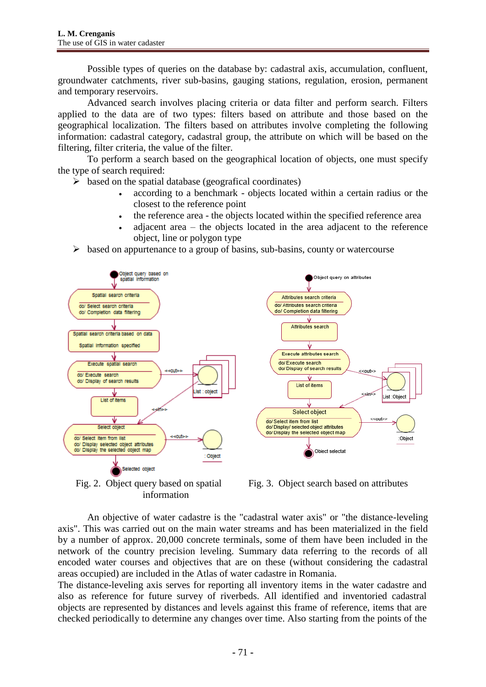Possible types of queries on the database by: cadastral axis, accumulation, confluent, groundwater catchments, river sub-basins, gauging stations, regulation, erosion, permanent and temporary reservoirs.

Advanced search involves placing criteria or data filter and perform search. Filters applied to the data are of two types: filters based on attribute and those based on the geographical localization. The filters based on attributes involve completing the following information: cadastral category, cadastral group, the attribute on which will be based on the filtering, filter criteria, the value of the filter.

To perform a search based on the geographical location of objects, one must specify the type of search required:

 $\triangleright$  based on the spatial database (geografical coordinates)

- according to a benchmark objects located within a certain radius or the closest to the reference point
- the reference area the objects located within the specified reference area
- adjacent area the objects located in the area adjacent to the reference object, line or polygon type
- $\triangleright$  based on appurtenance to a group of basins, sub-basins, county or watercourse



Fig. 2. Object query based on spatial information

Fig. 3. Object search based on attributes

An objective of water cadastre is the "cadastral water axis" or "the distance-leveling axis". This was carried out on the main water streams and has been materialized in the field by a number of approx. 20,000 concrete terminals, some of them have been included in the network of the country precision leveling. Summary data referring to the records of all encoded water courses and objectives that are on these (without considering the cadastral areas occupied) are included in the Atlas of water cadastre in Romania.

The distance-leveling axis serves for reporting all inventory items in the water cadastre and also as reference for future survey of riverbeds. All identified and inventoried cadastral objects are represented by distances and levels against this frame of reference, items that are checked periodically to determine any changes over time. Also starting from the points of the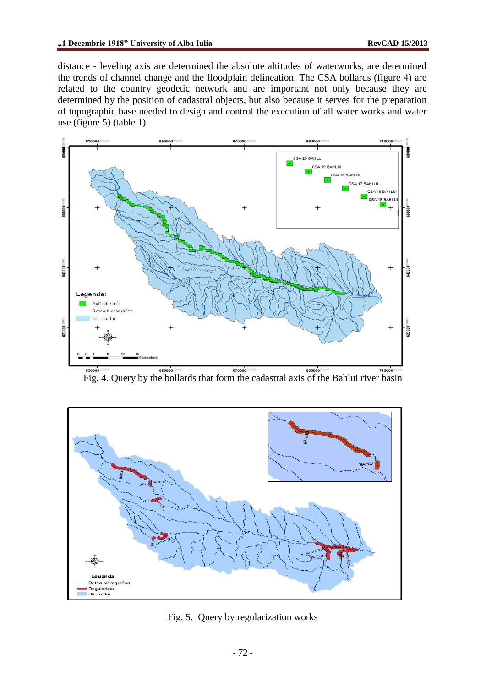distance - leveling axis are determined the absolute altitudes of waterworks, are determined the trends of channel change and the floodplain delineation. The CSA bollards (figure 4) are related to the country geodetic network and are important not only because they are determined by the position of cadastral objects, but also because it serves for the preparation of topographic base needed to design and control the execution of all water works and water use (figure 5) (table 1).



Fig. 4. Query by the bollards that form the cadastral axis of the Bahlui river basin



Fig. 5. Query by regularization works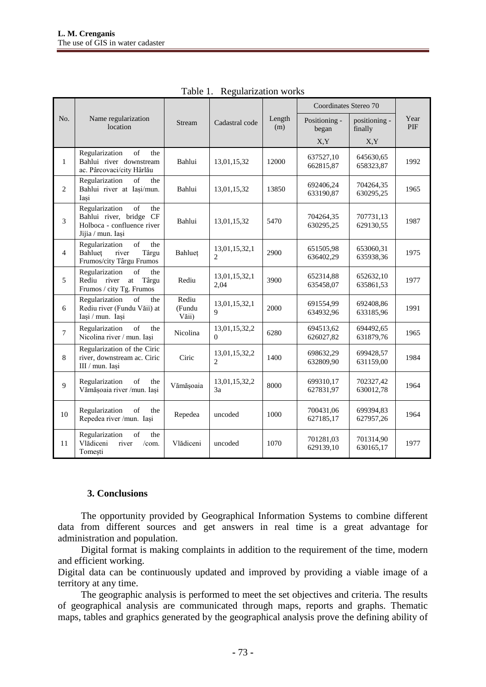|                |                                                                                                           |                          |                                 |               | Coordinates Stereo 70  |                          |             |
|----------------|-----------------------------------------------------------------------------------------------------------|--------------------------|---------------------------------|---------------|------------------------|--------------------------|-------------|
| No.            | Name regularization<br>location                                                                           | Stream                   | Cadastral code                  | Length<br>(m) | Positioning -<br>began | positioning -<br>finally | Year<br>PIF |
|                |                                                                                                           |                          |                                 |               | X.Y                    | X,Y                      |             |
| $\mathbf{1}$   | Regularization<br>of<br>the<br>Bahlui river downstream<br>ac. Pârcovaci/city Hârlău                       | Bahlui                   | 13,01,15,32                     | 12000         | 637527,10<br>662815,87 | 645630,65<br>658323,87   | 1992        |
| $\overline{2}$ | Regularization<br>of<br>the<br>Bahlui river at Iasi/mun.<br>Iași                                          | Bahlui                   | 13,01,15,32                     | 13850         | 692406,24<br>633190,87 | 704264,35<br>630295,25   | 1965        |
| 3              | of<br>Regularization<br>the<br>Bahlui river, bridge CF<br>Holboca - confluence river<br>Jijia / mun. Iași | Bahlui                   | 13,01,15,32                     | 5470          | 704264,35<br>630295,25 | 707731,13<br>629130,55   | 1987        |
| $\overline{4}$ | of<br>Regularization<br>the<br>Bahluet<br>river<br>Târgu<br>Frumos/city Târgu Frumos                      | Bahluet                  | 13,01,15,32,1<br>$\overline{c}$ | 2900          | 651505,98<br>636402,29 | 653060,31<br>635938,36   | 1975        |
| 5              | Regularization<br>of<br>the<br>Rediu<br>river<br>Târgu<br>at<br>Frumos / city Tg. Frumos                  | Rediu                    | 13,01,15,32,1<br>2,04           | 3900          | 652314,88<br>635458,07 | 652632,10<br>635861,53   | 1977        |
| 6              | Regularization<br>of<br>the<br>Rediu river (Fundu Văii) at<br>Iași / mun. Iași                            | Rediu<br>(Fundu<br>Văii) | 13,01,15,32,1<br>9              | 2000          | 691554,99<br>634932,96 | 692408,86<br>633185,96   | 1991        |
| $\tau$         | of<br>Regularization<br>the<br>Nicolina river / mun. Iași                                                 | Nicolina                 | 13,01,15,32,2<br>$\Omega$       | 6280          | 694513,62<br>626027,82 | 694492,65<br>631879,76   | 1965        |
| 8              | Regularization of the Ciric<br>river, downstream ac. Ciric<br>III / mun. Iași                             | Ciric                    | 13,01,15,32,2<br>$\overline{c}$ | 1400          | 698632,29<br>632809,90 | 699428,57<br>631159,00   | 1984        |
| 9              | of<br>Regularization<br>the<br>Vămășoaia river /mun. Iași                                                 | Vămășoaia                | 13,01,15,32,2<br>3a             | 8000          | 699310,17<br>627831,97 | 702327,42<br>630012,78   | 1964        |
| 10             | Regularization<br>of<br>the<br>Repedea river /mun. Iași                                                   | Repedea                  | uncoded                         | 1000          | 700431,06<br>627185,17 | 699394,83<br>627957,26   | 1964        |
| 11             | Regularization<br>of<br>the<br>Vlădiceni<br>river<br>/com.<br>Tomești                                     | Vlădiceni                | uncoded                         | 1070          | 701281,03<br>629139,10 | 701314,90<br>630165,17   | 1977        |

Table 1. Regularization works

#### **3. Conclusions**

The opportunity provided by Geographical Information Systems to combine different data from different sources and get answers in real time is a great advantage for administration and population.

Digital format is making complaints in addition to the requirement of the time, modern and efficient working.

Digital data can be continuously updated and improved by providing a viable image of a territory at any time.

The geographic analysis is performed to meet the set objectives and criteria. The results of geographical analysis are communicated through maps, reports and graphs. Thematic maps, tables and graphics generated by the geographical analysis prove the defining ability of